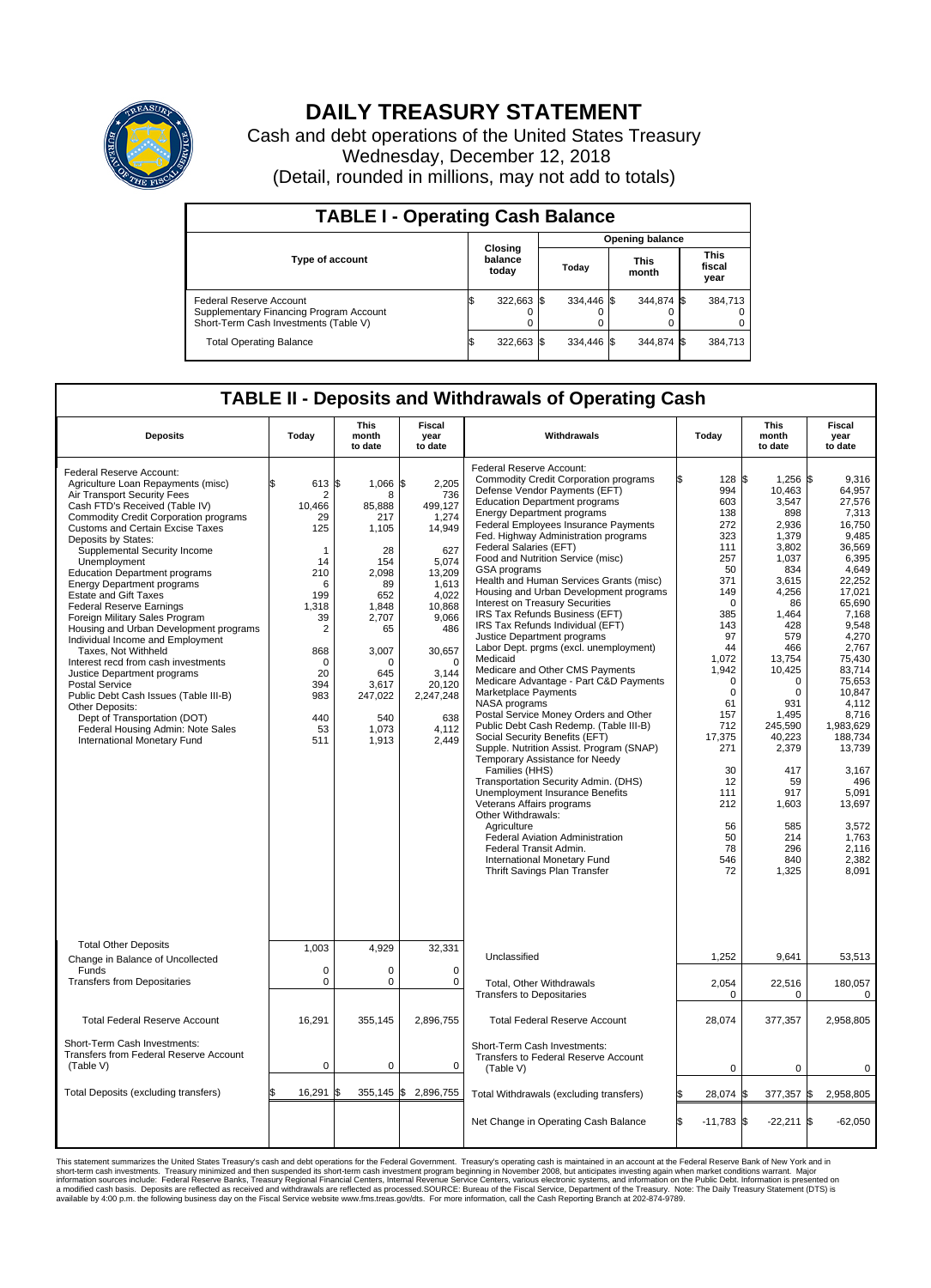

## **DAILY TREASURY STATEMENT**

Cash and debt operations of the United States Treasury Wednesday, December 12, 2018 (Detail, rounded in millions, may not add to totals)

| <b>TABLE I - Operating Cash Balance</b>                                                                     |    |                             |  |                        |  |                      |  |                               |  |  |  |
|-------------------------------------------------------------------------------------------------------------|----|-----------------------------|--|------------------------|--|----------------------|--|-------------------------------|--|--|--|
|                                                                                                             |    |                             |  | <b>Opening balance</b> |  |                      |  |                               |  |  |  |
| <b>Type of account</b>                                                                                      |    | Closing<br>balance<br>today |  | Today                  |  | <b>This</b><br>month |  | <b>This</b><br>fiscal<br>year |  |  |  |
| Federal Reserve Account<br>Supplementary Financing Program Account<br>Short-Term Cash Investments (Table V) |    | 322,663 \$                  |  | 334.446 \$             |  | 344.874 \$           |  | 384,713                       |  |  |  |
| <b>Total Operating Balance</b>                                                                              | ıъ | 322,663 \$                  |  | 334.446 \$             |  | 344.874 \$           |  | 384,713                       |  |  |  |

## **TABLE II - Deposits and Withdrawals of Operating Cash**

| <b>Deposits</b>                                                                                                                                                                                                                                                                                                                                                                                                                                                                                                                                                                                                                                                                                                                                                                                                                           | Today                                                                                                                                                           | <b>This</b><br>month<br>to date                                                                                                                                          | <b>Fiscal</b><br>year<br>to date                                                                                                                                                                      | Withdrawals                                                                                                                                                                                                                                                                                                                                                                                                                                                                                                                                                                                                                                                                                                                                                                                                                                                                                                                                                                                                                                                                                                                                                                                                                                                         | Today                                                                                                                                                                                                                                                            | <b>This</b><br>month<br>to date                                                                                                                                                                                                                                                               | Fiscal<br>year<br>to date                                                                                                                                                                                                                                                                                                       |
|-------------------------------------------------------------------------------------------------------------------------------------------------------------------------------------------------------------------------------------------------------------------------------------------------------------------------------------------------------------------------------------------------------------------------------------------------------------------------------------------------------------------------------------------------------------------------------------------------------------------------------------------------------------------------------------------------------------------------------------------------------------------------------------------------------------------------------------------|-----------------------------------------------------------------------------------------------------------------------------------------------------------------|--------------------------------------------------------------------------------------------------------------------------------------------------------------------------|-------------------------------------------------------------------------------------------------------------------------------------------------------------------------------------------------------|---------------------------------------------------------------------------------------------------------------------------------------------------------------------------------------------------------------------------------------------------------------------------------------------------------------------------------------------------------------------------------------------------------------------------------------------------------------------------------------------------------------------------------------------------------------------------------------------------------------------------------------------------------------------------------------------------------------------------------------------------------------------------------------------------------------------------------------------------------------------------------------------------------------------------------------------------------------------------------------------------------------------------------------------------------------------------------------------------------------------------------------------------------------------------------------------------------------------------------------------------------------------|------------------------------------------------------------------------------------------------------------------------------------------------------------------------------------------------------------------------------------------------------------------|-----------------------------------------------------------------------------------------------------------------------------------------------------------------------------------------------------------------------------------------------------------------------------------------------|---------------------------------------------------------------------------------------------------------------------------------------------------------------------------------------------------------------------------------------------------------------------------------------------------------------------------------|
| Federal Reserve Account:<br>Agriculture Loan Repayments (misc)<br>Air Transport Security Fees<br>Cash FTD's Received (Table IV)<br>Commodity Credit Corporation programs<br><b>Customs and Certain Excise Taxes</b><br>Deposits by States:<br>Supplemental Security Income<br>Unemployment<br><b>Education Department programs</b><br><b>Energy Department programs</b><br><b>Estate and Gift Taxes</b><br><b>Federal Reserve Earnings</b><br>Foreign Military Sales Program<br>Housing and Urban Development programs<br>Individual Income and Employment<br>Taxes. Not Withheld<br>Interest recd from cash investments<br>Justice Department programs<br>Postal Service<br>Public Debt Cash Issues (Table III-B)<br>Other Deposits:<br>Dept of Transportation (DOT)<br>Federal Housing Admin: Note Sales<br>International Monetary Fund | 613<br>\$<br>2<br>10,466<br>29<br>125<br>1<br>14<br>210<br>6<br>199<br>1,318<br>39<br>$\overline{2}$<br>868<br>$\Omega$<br>20<br>394<br>983<br>440<br>53<br>511 | 1\$<br>1,066<br>8<br>85,888<br>217<br>1,105<br>28<br>154<br>2.098<br>89<br>652<br>1,848<br>2,707<br>65<br>3,007<br>U<br>645<br>3,617<br>247,022<br>540<br>1,073<br>1,913 | 2,205<br>\$<br>736<br>499,127<br>1,274<br>14,949<br>627<br>5,074<br>13.209<br>1,613<br>4,022<br>10,868<br>9,066<br>486<br>30,657<br>$\Omega$<br>3.144<br>20,120<br>2,247,248<br>638<br>4,112<br>2,449 | Federal Reserve Account:<br><b>Commodity Credit Corporation programs</b><br>Defense Vendor Payments (EFT)<br><b>Education Department programs</b><br><b>Energy Department programs</b><br>Federal Employees Insurance Payments<br>Fed. Highway Administration programs<br>Federal Salaries (EFT)<br>Food and Nutrition Service (misc)<br>GSA programs<br>Health and Human Services Grants (misc)<br>Housing and Urban Development programs<br>Interest on Treasury Securities<br>IRS Tax Refunds Business (EFT)<br>IRS Tax Refunds Individual (EFT)<br>Justice Department programs<br>Labor Dept. prgms (excl. unemployment)<br>Medicaid<br>Medicare and Other CMS Payments<br>Medicare Advantage - Part C&D Payments<br>Marketplace Payments<br>NASA programs<br>Postal Service Money Orders and Other<br>Public Debt Cash Redemp. (Table III-B)<br>Social Security Benefits (EFT)<br>Supple. Nutrition Assist. Program (SNAP)<br>Temporary Assistance for Needy<br>Families (HHS)<br>Transportation Security Admin. (DHS)<br>Unemployment Insurance Benefits<br>Veterans Affairs programs<br>Other Withdrawals:<br>Agriculture<br><b>Federal Aviation Administration</b><br>Federal Transit Admin.<br>International Monetary Fund<br>Thrift Savings Plan Transfer | 128S<br>994<br>603<br>138<br>272<br>323<br>111<br>257<br>50<br>371<br>149<br>$\mathbf 0$<br>385<br>143<br>97<br>44<br>1.072<br>1,942<br>$\mathbf 0$<br>$\mathbf 0$<br>61<br>157<br>712<br>17,375<br>271<br>30<br>12<br>111<br>212<br>56<br>50<br>78<br>546<br>72 | $1,256$ \$<br>10,463<br>3,547<br>898<br>2,936<br>1,379<br>3,802<br>1,037<br>834<br>3,615<br>4,256<br>86<br>1,464<br>428<br>579<br>466<br>13,754<br>10,425<br>0<br>$\mathbf 0$<br>931<br>1,495<br>245,590<br>40,223<br>2,379<br>417<br>59<br>917<br>1,603<br>585<br>214<br>296<br>840<br>1,325 | 9.316<br>64,957<br>27.576<br>7,313<br>16,750<br>9,485<br>36,569<br>6,395<br>4,649<br>22.252<br>17,021<br>65,690<br>7,168<br>9.548<br>4,270<br>2,767<br>75.430<br>83,714<br>75,653<br>10,847<br>4.112<br>8,716<br>1,983,629<br>188,734<br>13,739<br>3,167<br>496<br>5,091<br>13,697<br>3,572<br>1.763<br>2,116<br>2,382<br>8,091 |
| <b>Total Other Deposits</b><br>Change in Balance of Uncollected                                                                                                                                                                                                                                                                                                                                                                                                                                                                                                                                                                                                                                                                                                                                                                           | 1,003                                                                                                                                                           | 4,929                                                                                                                                                                    | 32,331                                                                                                                                                                                                | Unclassified                                                                                                                                                                                                                                                                                                                                                                                                                                                                                                                                                                                                                                                                                                                                                                                                                                                                                                                                                                                                                                                                                                                                                                                                                                                        | 1,252                                                                                                                                                                                                                                                            | 9,641                                                                                                                                                                                                                                                                                         | 53,513                                                                                                                                                                                                                                                                                                                          |
| Funds<br><b>Transfers from Depositaries</b>                                                                                                                                                                                                                                                                                                                                                                                                                                                                                                                                                                                                                                                                                                                                                                                               | $\mathbf 0$<br>$\mathbf 0$                                                                                                                                      | $\Omega$<br>0                                                                                                                                                            | $\Omega$<br>0                                                                                                                                                                                         | Total, Other Withdrawals<br><b>Transfers to Depositaries</b>                                                                                                                                                                                                                                                                                                                                                                                                                                                                                                                                                                                                                                                                                                                                                                                                                                                                                                                                                                                                                                                                                                                                                                                                        | 2,054<br>$\mathbf 0$                                                                                                                                                                                                                                             | 22,516<br>0                                                                                                                                                                                                                                                                                   | 180,057<br>$\mathbf 0$                                                                                                                                                                                                                                                                                                          |
| <b>Total Federal Reserve Account</b>                                                                                                                                                                                                                                                                                                                                                                                                                                                                                                                                                                                                                                                                                                                                                                                                      | 16,291                                                                                                                                                          | 355,145                                                                                                                                                                  | 2,896,755                                                                                                                                                                                             | <b>Total Federal Reserve Account</b>                                                                                                                                                                                                                                                                                                                                                                                                                                                                                                                                                                                                                                                                                                                                                                                                                                                                                                                                                                                                                                                                                                                                                                                                                                | 28,074                                                                                                                                                                                                                                                           | 377,357                                                                                                                                                                                                                                                                                       | 2,958,805                                                                                                                                                                                                                                                                                                                       |
| Short-Term Cash Investments:<br>Transfers from Federal Reserve Account<br>(Table V)                                                                                                                                                                                                                                                                                                                                                                                                                                                                                                                                                                                                                                                                                                                                                       | $\mathbf 0$                                                                                                                                                     | 0                                                                                                                                                                        | 0                                                                                                                                                                                                     | Short-Term Cash Investments:<br>Transfers to Federal Reserve Account<br>(Table V)                                                                                                                                                                                                                                                                                                                                                                                                                                                                                                                                                                                                                                                                                                                                                                                                                                                                                                                                                                                                                                                                                                                                                                                   | $\mathbf 0$                                                                                                                                                                                                                                                      | $\mathbf 0$                                                                                                                                                                                                                                                                                   | 0                                                                                                                                                                                                                                                                                                                               |
| Total Deposits (excluding transfers)                                                                                                                                                                                                                                                                                                                                                                                                                                                                                                                                                                                                                                                                                                                                                                                                      | 16,291                                                                                                                                                          |                                                                                                                                                                          | 355,145 \$2,896,755                                                                                                                                                                                   | Total Withdrawals (excluding transfers)                                                                                                                                                                                                                                                                                                                                                                                                                                                                                                                                                                                                                                                                                                                                                                                                                                                                                                                                                                                                                                                                                                                                                                                                                             | 28,074 \$                                                                                                                                                                                                                                                        | 377,357 \$                                                                                                                                                                                                                                                                                    | 2,958,805                                                                                                                                                                                                                                                                                                                       |
|                                                                                                                                                                                                                                                                                                                                                                                                                                                                                                                                                                                                                                                                                                                                                                                                                                           |                                                                                                                                                                 |                                                                                                                                                                          |                                                                                                                                                                                                       | Net Change in Operating Cash Balance                                                                                                                                                                                                                                                                                                                                                                                                                                                                                                                                                                                                                                                                                                                                                                                                                                                                                                                                                                                                                                                                                                                                                                                                                                | \$.<br>$-11,783$ \$                                                                                                                                                                                                                                              | $-22,211$ \$                                                                                                                                                                                                                                                                                  | $-62,050$                                                                                                                                                                                                                                                                                                                       |

This statement summarizes the United States Treasury's cash and debt operations for the Federal Government. Treasury soperating in November 2008, but anticiarded in a cocount at the Federal Reserve Bank of New York and in<br>